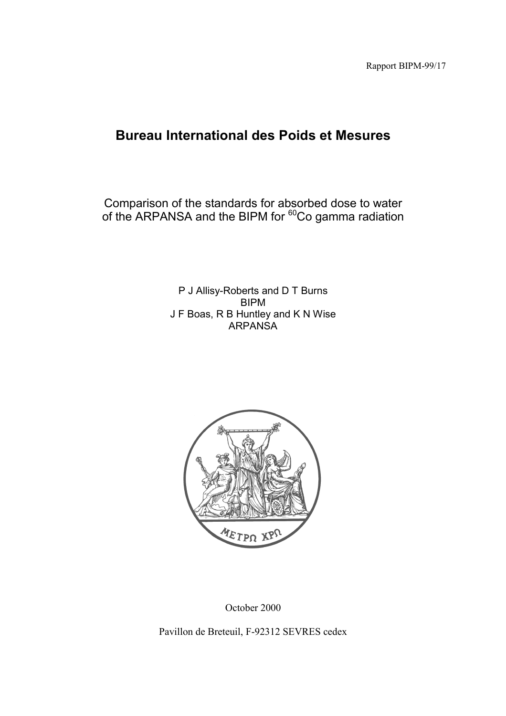Rapport BIPM-99/17

# **Bureau International des Poids et Mesures**

Comparison of the standards for absorbed dose to water of the ARPANSA and the BIPM for <sup>60</sup>Co gamma radiation

> P J Allisy-Roberts and D T Burns BIPM J F Boas, R B Huntley and K N Wise ARPANSA



October 2000

Pavillon de Breteuil, F-92312 SEVRES cedex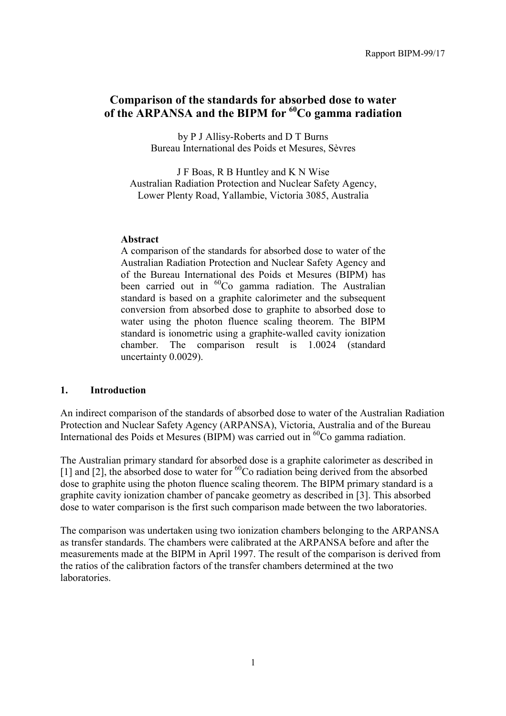# **Comparison of the standards for absorbed dose to water of the ARPANSA and the BIPM for 60Co gamma radiation**

by P J Allisy-Roberts and D T Burns Bureau International des Poids et Mesures, Sèvres

J F Boas, R B Huntley and K N Wise Australian Radiation Protection and Nuclear Safety Agency, Lower Plenty Road, Yallambie, Victoria 3085, Australia

### **Abstract**

A comparison of the standards for absorbed dose to water of the Australian Radiation Protection and Nuclear Safety Agency and of the Bureau International des Poids et Mesures (BIPM) has been carried out in <sup>60</sup>Co gamma radiation. The Australian standard is based on a graphite calorimeter and the subsequent conversion from absorbed dose to graphite to absorbed dose to water using the photon fluence scaling theorem. The BIPM standard is ionometric using a graphite-walled cavity ionization chamber. The comparison result is 1.0024 (standard uncertainty 0.0029).

## **1. Introduction**

An indirect comparison of the standards of absorbed dose to water of the Australian Radiation Protection and Nuclear Safety Agency (ARPANSA), Victoria, Australia and of the Bureau International des Poids et Mesures (BIPM) was carried out in  ${}^{60}Co$  gamma radiation.

The Australian primary standard for absorbed dose is a graphite calorimeter as described in [1] and [2], the absorbed dose to water for  ${}^{60}$ Co radiation being derived from the absorbed dose to graphite using the photon fluence scaling theorem. The BIPM primary standard is a graphite cavity ionization chamber of pancake geometry as described in [3]. This absorbed dose to water comparison is the first such comparison made between the two laboratories.

The comparison was undertaken using two ionization chambers belonging to the ARPANSA as transfer standards. The chambers were calibrated at the ARPANSA before and after the measurements made at the BIPM in April 1997. The result of the comparison is derived from the ratios of the calibration factors of the transfer chambers determined at the two laboratories.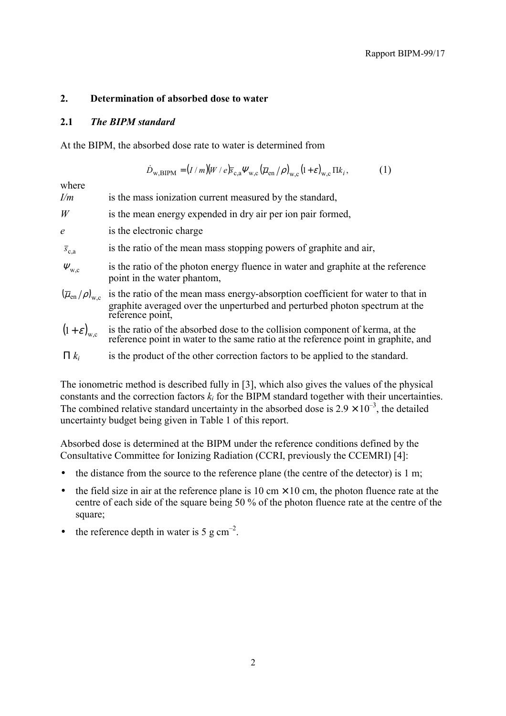## **2. Determination of absorbed dose to water**

## **2.1** *The BIPM standard*

At the BIPM, the absorbed dose rate to water is determined from

$$
\dot{D}_{\text{w,BIPM}} = (I/m)(W/e)\bar{s}_{\text{c,a}}\Psi_{\text{w,c}}(\bar{\mu}_{\text{en}}/\rho)_{\text{w,c}}(1+\varepsilon)_{\text{w,c}}\Pi k_i, \qquad (1)
$$

where

| I/m | is the mass ionization current measured by the standard, |
|-----|----------------------------------------------------------|
|-----|----------------------------------------------------------|

- *W* is the mean energy expended in dry air per ion pair formed,
- *e* is the electronic charge
- $\bar{s}$ . **is the ratio of the mean mass stopping powers of graphite and air,**
- $\Psi_{\text{w}}$  is the ratio of the photon energy fluence in water and graphite at the reference point in the water phantom,
- $(\overline{\mu}_{en}/\rho)_{w,c}$  is the ratio of the mean mass energy-absorption coefficient for water to that in graphite averaged over the unperturbed and perturbed photon spectrum at the reference point,
- is the ratio of the absorbed dose to the collision component of kerma, at the reference point in water to the same ratio at the reference point in graphite, and  $(1+\varepsilon)_{\rm wc}$
- Π *ki* is the product of the other correction factors to be applied to the standard.

The ionometric method is described fully in [3], which also gives the values of the physical constants and the correction factors  $k_i$  for the BIPM standard together with their uncertainties. The combined relative standard uncertainty in the absorbed dose is  $2.9 \times 10^{-3}$ , the detailed uncertainty budget being given in Table 1 of this report.

Absorbed dose is determined at the BIPM under the reference conditions defined by the Consultative Committee for Ionizing Radiation (CCRI, previously the CCEMRI) [4]:

- the distance from the source to the reference plane (the centre of the detector) is 1 m;
- the field size in air at the reference plane is 10 cm  $\times$  10 cm, the photon fluence rate at the centre of each side of the square being 50 % of the photon fluence rate at the centre of the square;
- the reference depth in water is 5 g  $cm^{-2}$ .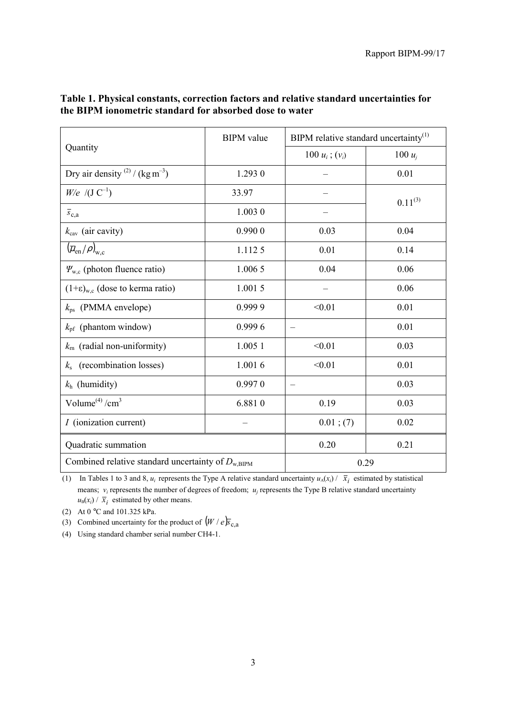|                                                               | <b>BIPM</b> value | BIPM relative standard uncertainty <sup>(1)</sup> |              |
|---------------------------------------------------------------|-------------------|---------------------------------------------------|--------------|
| Quantity                                                      |                   | 100 $u_i$ ; $(v_i)$                               | 100 $u_i$    |
| Dry air density $^{(2)}$ / (kg m <sup>-3</sup> )              | 1.293 0           |                                                   | 0.01         |
| $W/e$ /(J C <sup>-1</sup> )                                   | 33.97             |                                                   | $0.11^{(3)}$ |
| $\overline{s}_{c,a}$                                          | 1.0030            |                                                   |              |
| $k_{\text{cav}}$ (air cavity)                                 | 0.9900            | 0.03                                              | 0.04         |
| $(\overline{\mu}_{en}/\rho)_{w.c}$                            | 1.1125            | 0.01                                              | 0.14         |
| $\Psi_{w,c}$ (photon fluence ratio)                           | 1.006 5           | 0.04                                              | 0.06         |
| $(1+\epsilon)_{w,c}$ (dose to kerma ratio)                    | 1.0015            |                                                   | 0.06         |
| $k_{\text{ps}}$ (PMMA envelope)                               | 0.9999            | < 0.01                                            | 0.01         |
| $k_{\text{pf}}$ (phantom window)                              | 0.9996            |                                                   | 0.01         |
| $k_{\rm rn}$ (radial non-uniformity)                          | 1.005 1           | < 0.01                                            | 0.03         |
| $ks$ (recombination losses)                                   | 1.0016            | < 0.01                                            | 0.01         |
| $k_h$ (humidity)                                              | 0.9970            |                                                   | 0.03         |
| Volume $^{(4)}/cm^3$                                          | 6.8810            | 0.19                                              | 0.03         |
| <i>I</i> (ionization current)                                 |                   | $0.01$ ; (7)                                      | 0.02         |
| Quadratic summation                                           |                   | 0.20                                              | 0.21         |
| Combined relative standard uncertainty of $D_{\text{w,BIPM}}$ |                   | 0.29                                              |              |

# **Table 1. Physical constants, correction factors and relative standard uncertainties for the BIPM ionometric standard for absorbed dose to water**

(1) In Tables 1 to 3 and 8,  $u_i$  represents the Type A relative standard uncertainty  $u_A(x_i) / \overline{x}_i$  estimated by statistical means;  $v_i$  represents the number of degrees of freedom;  $u_j$  represents the Type B relative standard uncertainty  $u_{\text{B}}(x_i)$  /  $\bar{x}_i$  estimated by other means.

(2) At 0 °C and 101.325 kPa.

(3) Combined uncertainty for the product of  $(W / e)$ <sub>*s*c,a</sub>

(4) Using standard chamber serial number CH4-1.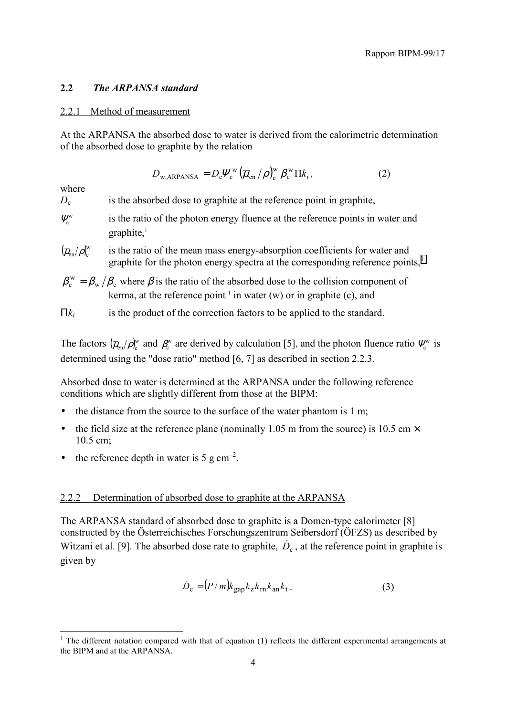## **2.2** *The ARPANSA standard*

#### 2.2.1 Method of measurement

At the ARPANSA the absorbed dose to water is derived from the calorimetric determination of the absorbed dose to graphite by the relation

$$
D_{\text{w,ARPANSA}} = D_{\text{c}} \Psi_{\text{c}}^{\text{w}} \left( \overline{\mu}_{\text{en}} / \rho \right)_{\text{c}}^{\text{w}} \beta_{\text{c}}^{\text{w}} \Pi k_i, \tag{2}
$$

where

 $\overline{a}$ 

 $D<sub>c</sub>$  is the absorbed dose to graphite at the reference point in graphite,

- $\Psi_c^{\text{w}}$  is the ratio of the photon energy fluence at the reference points in water and graphite,<sup>1</sup>
- $(\overline{\mu}_{en}/\rho)^{w}_{c}$ is the ratio of the mean mass energy-absorption coefficients for water and graphite for the photon energy spectra at the corresponding reference points,<sup>1</sup>
- $\beta_{\rm c}^{\rm w} = \beta_{\rm w}/\beta_{\rm c}$  where  $\beta$  is the ratio of the absorbed dose to the collision component of kerma, at the reference point  $\perp$  in water (w) or in graphite (c), and

Π*ki* is the product of the correction factors to be applied to the standard.

The factors  $(\overline{\mu}_{en}/\rho)_{c}^{w}$  and  $\beta_{c}^{w}$  are derived by calculation [5], and the photon fluence ratio  $\Psi_{c}^{w}$  is determined using the "dose ratio" method [6, 7] as described in section 2.2.3.

Absorbed dose to water is determined at the ARPANSA under the following reference conditions which are slightly different from those at the BIPM:

- the distance from the source to the surface of the water phantom is 1 m;
- the field size at the reference plane (nominally 1.05 m from the source) is 10.5 cm  $\times$ 10.5 cm;
- the reference depth in water is 5 g  $cm<sup>-2</sup>$ .

## 2.2.2 Determination of absorbed dose to graphite at the ARPANSA

The ARPANSA standard of absorbed dose to graphite is a Domen-type calorimeter [8] constructed by the Österreichisches Forschungszentrum Seibersdorf (ÖFZS) as described by Witzani et al. [9]. The absorbed dose rate to graphite,  $\dot{D}_c$ , at the reference point in graphite is given by

$$
\dot{D}_{\rm c} = (P/m)k_{\rm gap}k_zk_{\rm rn}k_{\rm an}k_{\rm t}.
$$
 (3)

 $1$  The different notation compared with that of equation (1) reflects the different experimental arrangements at the BIPM and at the ARPANSA.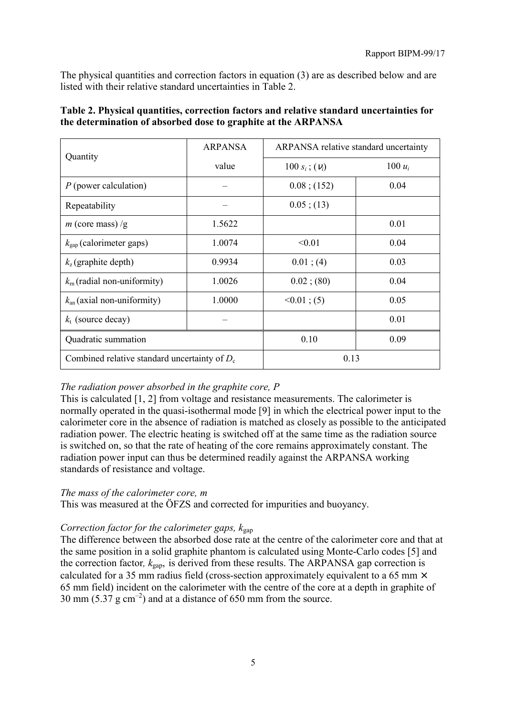The physical quantities and correction factors in equation (3) are as described below and are listed with their relative standard uncertainties in Table 2.

| Quantity                                        | <b>ARPANSA</b> | <b>ARPANSA</b> relative standard uncertainty |           |
|-------------------------------------------------|----------------|----------------------------------------------|-----------|
|                                                 | value          | 100 $s_i$ ; $(v_i)$                          | 100 $u_i$ |
| $P$ (power calculation)                         |                | $0.08$ ; (152)                               | 0.04      |
| Repeatability                                   |                | $0.05$ ; (13)                                |           |
| <i>m</i> (core mass) /g                         | 1.5622         |                                              | 0.01      |
| $k_{\text{gap}}$ (calorimeter gaps)             | 1.0074         | < 0.01                                       | 0.04      |
| $k_{z}$ (graphite depth)                        | 0.9934         | $0.01$ ; (4)                                 | 0.03      |
| $k_{\rm m}$ (radial non-uniformity)             | 1.0026         | $0.02$ ; (80)                                | 0.04      |
| $k_{\text{an}}$ (axial non-uniformity)          | 1.0000         | $<0.01$ ; (5)                                | 0.05      |
| $k_t$ (source decay)                            |                |                                              | 0.01      |
| Quadratic summation                             |                | 0.10                                         | 0.09      |
| Combined relative standard uncertainty of $D_c$ |                | 0.13                                         |           |

# **Table 2. Physical quantities, correction factors and relative standard uncertainties for the determination of absorbed dose to graphite at the ARPANSA**

# *The radiation power absorbed in the graphite core, P*

This is calculated [1, 2] from voltage and resistance measurements. The calorimeter is normally operated in the quasi-isothermal mode [9] in which the electrical power input to the calorimeter core in the absence of radiation is matched as closely as possible to the anticipated radiation power. The electric heating is switched off at the same time as the radiation source is switched on, so that the rate of heating of the core remains approximately constant. The radiation power input can thus be determined readily against the ARPANSA working standards of resistance and voltage.

# *The mass of the calorimeter core, m*

This was measured at the ÖFZS and corrected for impurities and buoyancy.

# *Correction factor for the calorimeter gaps,*  $k_{\text{gan}}$

The difference between the absorbed dose rate at the centre of the calorimeter core and that at the same position in a solid graphite phantom is calculated using Monte-Carlo codes [5] and the correction factor,  $k_{\text{gap}}$ , is derived from these results. The ARPANSA gap correction is calculated for a 35 mm radius field (cross-section approximately equivalent to a 65 mm  $\times$ 65 mm field) incident on the calorimeter with the centre of the core at a depth in graphite of 30 mm (5.37 g cm<sup>-2</sup>) and at a distance of 650 mm from the source.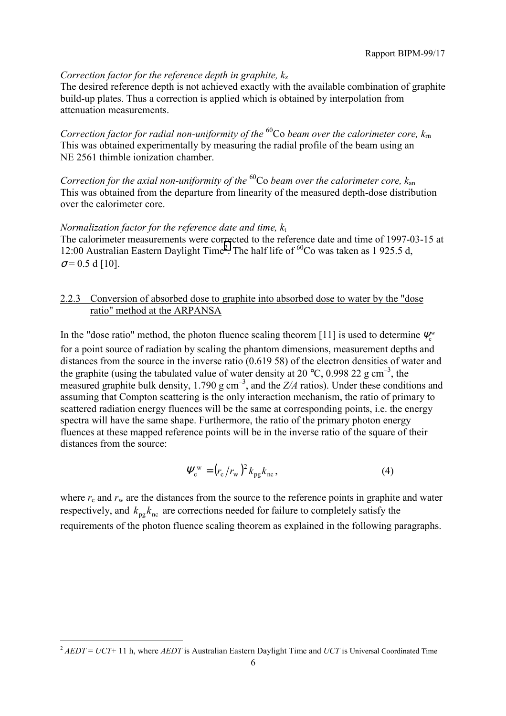# *Correction factor for the reference depth in graphite,*  $k_z$

The desired reference depth is not achieved exactly with the available combination of graphite build-up plates. Thus a correction is applied which is obtained by interpolation from attenuation measurements.

*Correction factor for radial non-uniformity of the* 60Co *beam over the calorimeter core, k*rn This was obtained experimentally by measuring the radial profile of the beam using an NE 2561 thimble ionization chamber.

*Correction for the axial non-uniformity of the* 60Co *beam over the calorimeter core, k*an This was obtained from the departure from linearity of the measured depth-dose distribution over the calorimeter core.

## *Normalization factor for the reference date and time,*  $k_t$

The calorimeter measurements were corrected to the reference date and time of 1997-03-15 at 12:00 Australian Eastern Daylight Time<sup>2</sup>. The half life of  $^{60}$ Co was taken as 1 925.5 d,  $\sigma$  = 0.5 d [10].

## 2.2.3 Conversion of absorbed dose to graphite into absorbed dose to water by the "dose ratio" method at the ARPANSA

In the "dose ratio" method, the photon fluence scaling theorem [11] is used to determine  $\Psi_{c}^{w}$ for a point source of radiation by scaling the phantom dimensions, measurement depths and distances from the source in the inverse ratio (0.619 58) of the electron densities of water and the graphite (using the tabulated value of water density at 20 °C, 0.998 22 g cm<sup>-3</sup>, the measured graphite bulk density,  $1.790 \text{ g cm}^{-3}$ , and the  $Z/A$  ratios). Under these conditions and assuming that Compton scattering is the only interaction mechanism, the ratio of primary to scattered radiation energy fluences will be the same at corresponding points, i.e. the energy spectra will have the same shape. Furthermore, the ratio of the primary photon energy fluences at these mapped reference points will be in the inverse ratio of the square of their distances from the source:

$$
\Psi_{\rm c}^{\rm w} = \left(r_{\rm c}/r_{\rm w}\right)^2 k_{\rm pg} k_{\rm nc},\tag{4}
$$

where  $r_c$  and  $r_w$  are the distances from the source to the reference points in graphite and water respectively, and  $k_{\text{pg}} k_{\text{nc}}$  are corrections needed for failure to completely satisfy the requirements of the photon fluence scaling theorem as explained in the following paragraphs.

 $\overline{a}$ 

<sup>&</sup>lt;sup>2</sup> *AEDT* = *UCT*+ 11 h, where *AEDT* is Australian Eastern Daylight Time and *UCT* is Universal Coordinated Time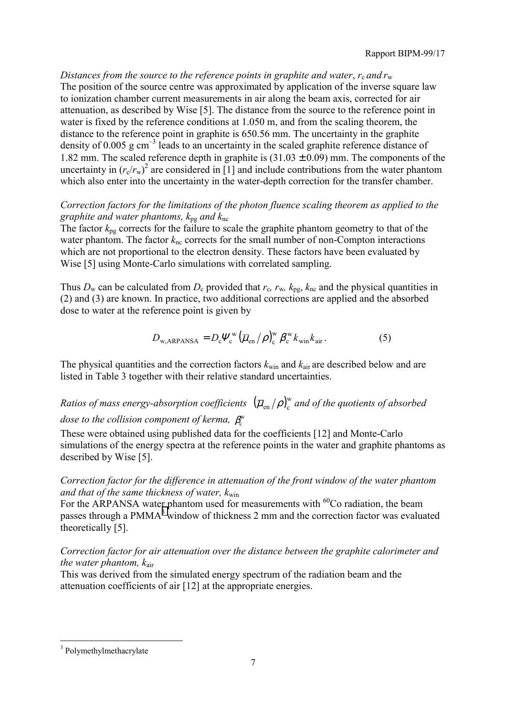*Distances from the source to the reference points in graphite and water,*  $r_c$  *and*  $r_w$ The position of the source centre was approximated by application of the inverse square law to ionization chamber current measurements in air along the beam axis, corrected for air attenuation, as described by Wise [5]. The distance from the source to the reference point in water is fixed by the reference conditions at 1.050 m, and from the scaling theorem, the distance to the reference point in graphite is 650.56 mm. The uncertainty in the graphite density of 0.005 g  $cm^{-3}$  leads to an uncertainty in the scaled graphite reference distance of 1.82 mm. The scaled reference depth in graphite is  $(31.03 \pm 0.09)$  mm. The components of the uncertainty in  $(r_c/r_w)^2$  are considered in [1] and include contributions from the water phantom which also enter into the uncertainty in the water-depth correction for the transfer chamber.

*Correction factors for the limitations of the photon fluence scaling theorem as applied to the graphite and water phantoms, k*pg *and k*nc

The factor *k*pg corrects for the failure to scale the graphite phantom geometry to that of the water phantom. The factor  $k_{nc}$  corrects for the small number of non-Compton interactions which are not proportional to the electron density. These factors have been evaluated by Wise [5] using Monte-Carlo simulations with correlated sampling.

Thus  $D_w$  can be calculated from  $D_c$  provided that  $r_c$ ,  $r_w$ ,  $k_{\text{pe}}$ ,  $k_{\text{nc}}$  and the physical quantities in (2) and (3) are known. In practice, two additional corrections are applied and the absorbed dose to water at the reference point is given by

$$
D_{\text{w,ARPANSA}} = D_{\text{c}} \Psi_{\text{c}}^{\text{w}} \left( \overline{\mu}_{\text{en}} / \rho \right)_{\text{c}}^{\text{w}} \beta_{\text{c}}^{\text{w}} k_{\text{win}} k_{\text{air}} \,. \tag{5}
$$

The physical quantities and the correction factors  $k_{win}$  and  $k_{air}$  are described below and are listed in Table 3 together with their relative standard uncertainties.

# Ratios of mass energy-absorption coefficients  $\ (\overline{\mu}_{\rm en}/\rho)_{\rm c}^{\rm w}$  and of the quotients of absorbed *dose to the collision component of kerma, β*<sup>w</sup>

These were obtained using published data for the coefficients [12] and Monte-Carlo simulations of the energy spectra at the reference points in the water and graphite phantoms as described by Wise [5].

*Correction factor for the difference in attenuation of the front window of the water phantom and that of the same thickness of water, k*win

For the ARPANSA water phantom used for measurements with <sup>60</sup>Co radiation, the beam passes through a PMMA<sup>3</sup> window of thickness 2 mm and the correction factor was evaluated theoretically [5].

*Correction factor for air attenuation over the distance between the graphite calorimeter and the water phantom, k*air

This was derived from the simulated energy spectrum of the radiation beam and the attenuation coefficients of air [12] at the appropriate energies.

 $\overline{a}$ 

<sup>&</sup>lt;sup>3</sup> Polymethylmethacrylate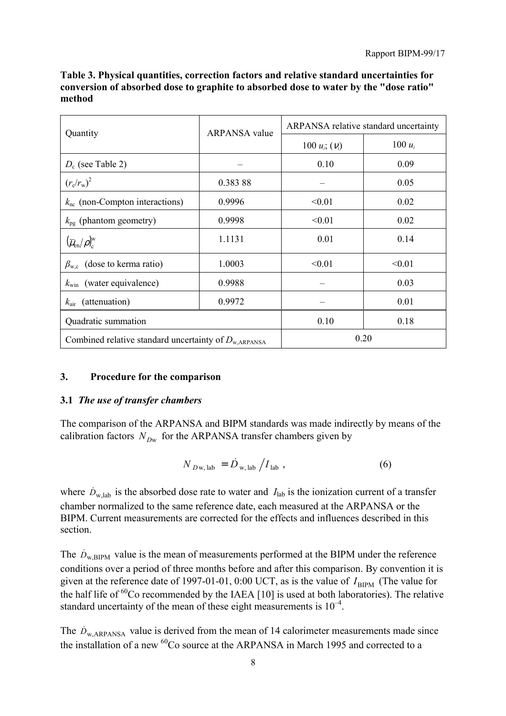| Quantity                                                         | <b>ARPANSA</b> value | ARPANSA relative standard uncertainty |           |  |
|------------------------------------------------------------------|----------------------|---------------------------------------|-----------|--|
|                                                                  |                      | 100 $u_i$ ; $(v_i)$                   | 100 $u_i$ |  |
| $D_c$ (see Table 2)                                              |                      | 0.10                                  | 0.09      |  |
| $(r_c/r_w)^2$                                                    | 0.38388              |                                       | 0.05      |  |
| $k_{\rm nc}$ (non-Compton interactions)                          | 0.9996               | < 0.01                                | 0.02      |  |
| $k_{\text{pg}}$ (phantom geometry)                               | 0.9998               | < 0.01                                | 0.02      |  |
| $(\overline{\mu}_{\rm en}/\rho)_{\rm c}^{\rm w}$                 | 1.1131               | 0.01                                  | 0.14      |  |
| $\beta_{w,c}$ (dose to kerma ratio)                              | 1.0003               | < 0.01                                | < 0.01    |  |
| $k_{\text{win}}$ (water equivalence)                             | 0.9988               |                                       | 0.03      |  |
| $k_{\text{air}}$ (attenuation)                                   | 0.9972               |                                       | 0.01      |  |
| Quadratic summation                                              |                      | 0.10                                  | 0.18      |  |
| Combined relative standard uncertainty of $D_{\text{w,ARPANSA}}$ | 0.20                 |                                       |           |  |

**Table 3. Physical quantities, correction factors and relative standard uncertainties for conversion of absorbed dose to graphite to absorbed dose to water by the "dose ratio" method**

## **3. Procedure for the comparison**

## **3.1** *The use of transfer chambers*

The comparison of the ARPANSA and BIPM standards was made indirectly by means of the calibration factors  $N_{Dw}$  for the ARPANSA transfer chambers given by

$$
N_{D\mathbf{w},\,\mathrm{lab}} = \dot{D}_{\mathbf{w},\,\mathrm{lab}} \left/ I_{\,\mathrm{lab}} \right.\,,\tag{6}
$$

where  $\dot{D}_{w,lab}$  is the absorbed dose rate to water and  $I_{lab}$  is the ionization current of a transfer chamber normalized to the same reference date, each measured at the ARPANSA or the BIPM. Current measurements are corrected for the effects and influences described in this section.

The  $\dot{D}_{\text{w RIPM}}$  value is the mean of measurements performed at the BIPM under the reference conditions over a period of three months before and after this comparison. By convention it is given at the reference date of 1997-01-01, 0:00 UCT, as is the value of  $I_{\text{BIPM}}$  (The value for the half life of  ${}^{60}$ Co recommended by the IAEA [10] is used at both laboratories). The relative standard uncertainty of the mean of these eight measurements is  $10^{-4}$ .

The  $\dot{D}_{\text{w ARPANSA}}$  value is derived from the mean of 14 calorimeter measurements made since the installation of a new <sup>60</sup>Co source at the ARPANSA in March 1995 and corrected to a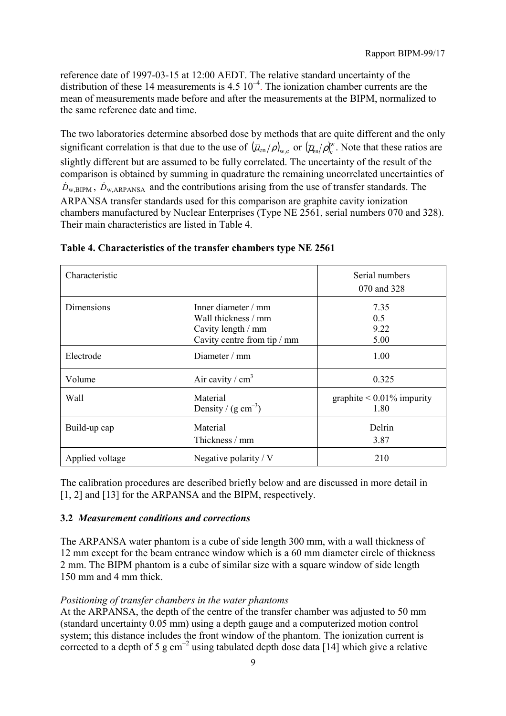reference date of 1997-03-15 at 12:00 AEDT. The relative standard uncertainty of the distribution of these 14 measurements is  $4.5 \times 10^{-4}$ . The ionization chamber currents are the mean of measurements made before and after the measurements at the BIPM, normalized to the same reference date and time.

The two laboratories determine absorbed dose by methods that are quite different and the only significant correlation is that due to the use of  $(\overline{\mu}_{en}/\rho)_{w,c}$  or  $(\overline{\mu}_{en}/\rho)_{c}^{w}$ . Note that these ratios are slightly different but are assumed to be fully correlated. The uncertainty of the result of the comparison is obtained by summing in quadrature the remaining uncorrelated uncertainties of  $\dot{D}_{w,BIPM}$ ,  $\dot{D}_{w,ARPANSA}$  and the contributions arising from the use of transfer standards. The ARPANSA transfer standards used for this comparison are graphite cavity ionization chambers manufactured by Nuclear Enterprises (Type NE 2561, serial numbers 070 and 328). Their main characteristics are listed in Table 4.

| Characteristic  |                                                                                                  | Serial numbers<br>070 and 328           |
|-----------------|--------------------------------------------------------------------------------------------------|-----------------------------------------|
| Dimensions      | Inner diameter $/mm$<br>Wall thickness / mm<br>Cavity length / mm<br>Cavity centre from tip / mm | 7.35<br>0.5<br>9.22<br>5.00             |
| Electrode       | Diameter / mm                                                                                    | 1.00                                    |
| Volume          | Air cavity / $cm3$                                                                               | 0.325                                   |
| Wall            | Material<br>Density / $(g cm^{-3})$                                                              | graphite $\leq 0.01\%$ impurity<br>1.80 |
| Build-up cap    | Material<br>Thickness / mm                                                                       | Delrin<br>3.87                          |
| Applied voltage | Negative polarity / $V$                                                                          | 210                                     |

## **Table 4. Characteristics of the transfer chambers type NE 2561**

The calibration procedures are described briefly below and are discussed in more detail in [1, 2] and [13] for the ARPANSA and the BIPM, respectively.

## **3.2** *Measurement conditions and corrections*

The ARPANSA water phantom is a cube of side length 300 mm, with a wall thickness of 12 mm except for the beam entrance window which is a 60 mm diameter circle of thickness 2 mm. The BIPM phantom is a cube of similar size with a square window of side length 150 mm and 4 mm thick.

## *Positioning of transfer chambers in the water phantoms*

At the ARPANSA, the depth of the centre of the transfer chamber was adjusted to 50 mm (standard uncertainty 0.05 mm) using a depth gauge and a computerized motion control system; this distance includes the front window of the phantom. The ionization current is corrected to a depth of 5 g cm<sup>-2</sup> using tabulated depth dose data [14] which give a relative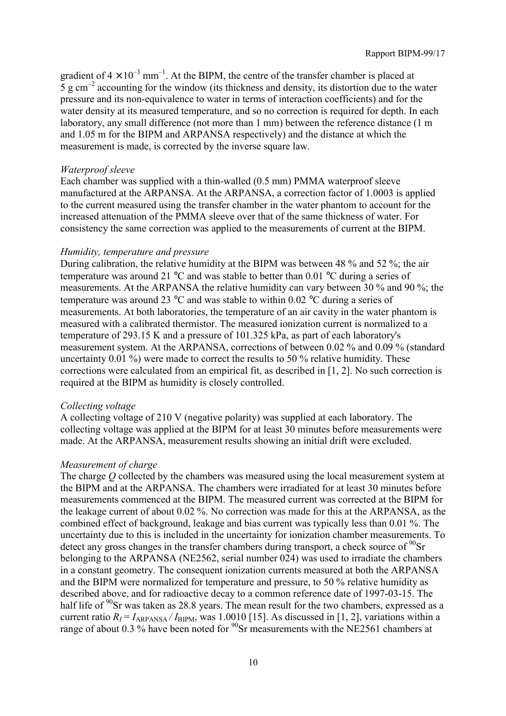gradient of  $4 \times 10^{-3}$  mm<sup>-1</sup>. At the BIPM, the centre of the transfer chamber is placed at 5 g cm<sup> $-2$ </sup> accounting for the window (its thickness and density, its distortion due to the water pressure and its non-equivalence to water in terms of interaction coefficients) and for the water density at its measured temperature, and so no correction is required for depth. In each laboratory, any small difference (not more than 1 mm) between the reference distance (1 m and 1.05 m for the BIPM and ARPANSA respectively) and the distance at which the measurement is made, is corrected by the inverse square law.

#### *Waterproof sleeve*

Each chamber was supplied with a thin-walled (0.5 mm) PMMA waterproof sleeve manufactured at the ARPANSA. At the ARPANSA, a correction factor of 1.0003 is applied to the current measured using the transfer chamber in the water phantom to account for the increased attenuation of the PMMA sleeve over that of the same thickness of water. For consistency the same correction was applied to the measurements of current at the BIPM.

#### *Humidity, temperature and pressure*

During calibration, the relative humidity at the BIPM was between 48 % and 52 %; the air temperature was around 21  $^{\circ}$ C and was stable to better than 0.01  $^{\circ}$ C during a series of measurements. At the ARPANSA the relative humidity can vary between 30 % and 90 %; the temperature was around 23 °C and was stable to within 0.02 °C during a series of measurements. At both laboratories, the temperature of an air cavity in the water phantom is measured with a calibrated thermistor. The measured ionization current is normalized to a temperature of 293.15 K and a pressure of 101.325 kPa, as part of each laboratory's measurement system. At the ARPANSA, corrections of between 0.02 % and 0.09 % (standard uncertainty 0.01 %) were made to correct the results to 50 % relative humidity. These corrections were calculated from an empirical fit, as described in [1, 2]. No such correction is required at the BIPM as humidity is closely controlled.

#### *Collecting voltage*

A collecting voltage of 210 V (negative polarity) was supplied at each laboratory. The collecting voltage was applied at the BIPM for at least 30 minutes before measurements were made. At the ARPANSA, measurement results showing an initial drift were excluded.

#### *Measurement of charge*

The charge *Q* collected by the chambers was measured using the local measurement system at the BIPM and at the ARPANSA. The chambers were irradiated for at least 30 minutes before measurements commenced at the BIPM. The measured current was corrected at the BIPM for the leakage current of about 0.02 %. No correction was made for this at the ARPANSA, as the combined effect of background, leakage and bias current was typically less than 0.01 %. The uncertainty due to this is included in the uncertainty for ionization chamber measurements. To detect any gross changes in the transfer chambers during transport, a check source of  $90$ Sr belonging to the ARPANSA (NE2562, serial number 024) was used to irradiate the chambers in a constant geometry. The consequent ionization currents measured at both the ARPANSA and the BIPM were normalized for temperature and pressure, to 50 % relative humidity as described above, and for radioactive decay to a common reference date of 1997-03-15. The half life of <sup>90</sup>Sr was taken as 28.8 years. The mean result for the two chambers, expressed as a current ratio  $R_I = I_{ARPANSA} / I_{BIPM}$ , was 1.0010 [15]. As discussed in [1, 2], variations within a range of about 0.3 % have been noted for  $^{90}$ Sr measurements with the NE2561 chambers at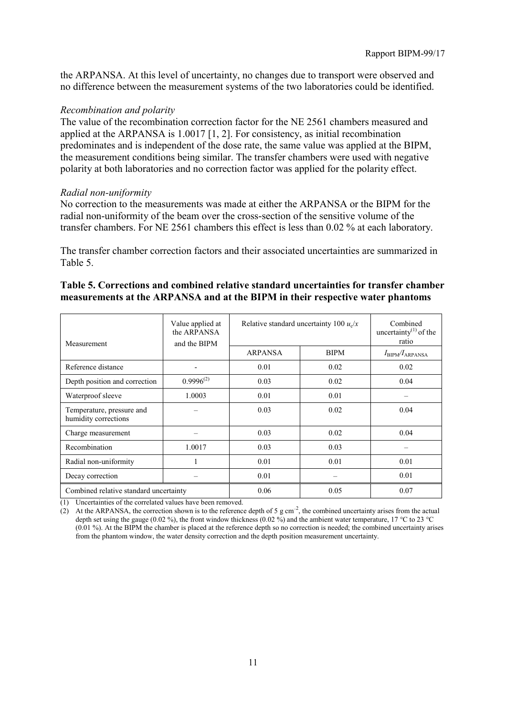the ARPANSA. At this level of uncertainty, no changes due to transport were observed and no difference between the measurement systems of the two laboratories could be identified.

## *Recombination and polarity*

The value of the recombination correction factor for the NE 2561 chambers measured and applied at the ARPANSA is 1.0017 [1, 2]. For consistency, as initial recombination predominates and is independent of the dose rate, the same value was applied at the BIPM, the measurement conditions being similar. The transfer chambers were used with negative polarity at both laboratories and no correction factor was applied for the polarity effect.

## *Radial non-uniformity*

No correction to the measurements was made at either the ARPANSA or the BIPM for the radial non-uniformity of the beam over the cross-section of the sensitive volume of the transfer chambers. For NE 2561 chambers this effect is less than 0.02 % at each laboratory.

The transfer chamber correction factors and their associated uncertainties are summarized in Table 5.

| Measurement                                       | Value applied at<br>the ARPANSA<br>and the BIPM | Relative standard uncertainty 100 $u_x/x$ | Combined<br>uncertainty <sup>(1)</sup> of the<br>ratio |                                      |
|---------------------------------------------------|-------------------------------------------------|-------------------------------------------|--------------------------------------------------------|--------------------------------------|
|                                                   |                                                 | ARPANSA                                   | <b>BIPM</b>                                            | $I_{\text{BIPM}}/I_{\text{ARPANSA}}$ |
| Reference distance                                |                                                 | 0.01                                      | 0.02                                                   | 0.02                                 |
| Depth position and correction                     | $0.9996^{(2)}$                                  | 0.03                                      | 0.02                                                   | 0.04                                 |
| Waterproof sleeve                                 | 1.0003                                          | 0.01                                      | 0.01                                                   |                                      |
| Temperature, pressure and<br>humidity corrections |                                                 | 0.03                                      | 0.02                                                   | 0.04                                 |
| Charge measurement                                |                                                 | 0.03                                      | 0.02                                                   | 0.04                                 |
| Recombination                                     | 1.0017                                          | 0.03                                      | 0.03                                                   |                                      |
| Radial non-uniformity                             |                                                 | 0.01                                      | 0.01                                                   | 0.01                                 |
| Decay correction                                  |                                                 | 0.01                                      |                                                        | 0.01                                 |
| Combined relative standard uncertainty            |                                                 | 0.06                                      | 0.05                                                   | 0.07                                 |

## **Table 5. Corrections and combined relative standard uncertainties for transfer chamber measurements at the ARPANSA and at the BIPM in their respective water phantoms**

(1) Uncertainties of the correlated values have been removed.

(2) At the ARPANSA, the correction shown is to the reference depth of 5 g cm<sup>-2</sup>, the combined uncertainty arises from the actual depth set using the gauge (0.02 %), the front window thickness (0.02 %) and the ambient water temperature, 17 °C to 23 °C (0.01 %). At the BIPM the chamber is placed at the reference depth so no correction is needed; the combined uncertainty arises from the phantom window, the water density correction and the depth position measurement uncertainty.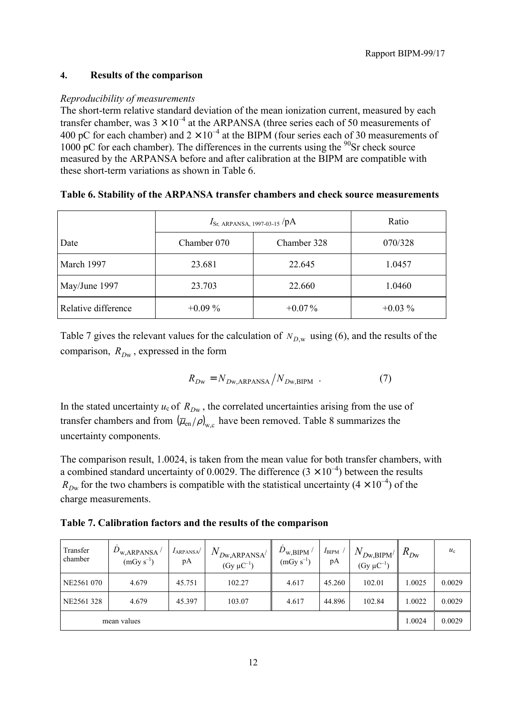# **4. Results of the comparison**

# *Reproducibility of measurements*

The short-term relative standard deviation of the mean ionization current, measured by each transfer chamber, was  $3 \times 10^{-4}$  at the ARPANSA (three series each of 50 measurements of 400 pC for each chamber) and  $2 \times 10^{-4}$  at the BIPM (four series each of 30 measurements of 1000 pC for each chamber). The differences in the currents using the  $^{90}$ Sr check source measured by the ARPANSA before and after calibration at the BIPM are compatible with these short-term variations as shown in Table 6.

# **Table 6. Stability of the ARPANSA transfer chambers and check source measurements**

|                     | $I_{\text{Sr, ARPANSA, 1997-03-15}}$ /pA | Ratio       |           |
|---------------------|------------------------------------------|-------------|-----------|
| Date                | Chamber 070                              | Chamber 328 | 070/328   |
| March 1997          | 23.681                                   | 22.645      | 1.0457    |
| May/June 1997       | 23.703                                   | 22.660      | 1.0460    |
| Relative difference | $+0.09\%$                                | $+0.07\%$   | $+0.03\%$ |

Table 7 gives the relevant values for the calculation of  $N_{D,w}$  using (6), and the results of the comparison,  $R_{Dw}$ , expressed in the form

$$
R_{Dw} = N_{Dw, \text{ARPANSA}} / N_{Dw, \text{BIPM}} \tag{7}
$$

In the stated uncertainty  $u_c$  of  $R_{Dw}$ , the correlated uncertainties arising from the use of transfer chambers and from  $(\overline{\mu}_{en}/\rho)_{w}$  have been removed. Table 8 summarizes the uncertainty components.

The comparison result, 1.0024, is taken from the mean value for both transfer chambers, with a combined standard uncertainty of 0.0029. The difference  $(3 \times 10^{-4})$  between the results  $R_{Dw}$  for the two chambers is compatible with the statistical uncertainty ( $4 \times 10^{-4}$ ) of the charge measurements.

**Table 7. Calibration factors and the results of the comparison**

| Transfer<br>chamber | $D_{\text{w,ARPANSA}}/$<br>$(mGy s^{-1})$ | $I_{ARPANSA}$<br>рA | $N_{D\!{\rm w,ARPANSA}'}$<br>$(Gy \mu C^{-1})$ | $\dot{D}_{\rm w,BIPM}$ /<br>$(mGy s^{-1})$ | $I_{\rm BIPM}$<br>рA | $N_{Dw,BIPM}$<br>$(Gy \mu C^{-1})$ | $R_{Dw}$ | $u_{c}$ |
|---------------------|-------------------------------------------|---------------------|------------------------------------------------|--------------------------------------------|----------------------|------------------------------------|----------|---------|
| NE2561 070          | 4.679                                     | 45.751              | 102.27                                         | 4.617                                      | 45.260               | 102.01                             | 1.0025   | 0.0029  |
| NE2561 328          | 4.679                                     | 45.397              | 103.07                                         | 4.617                                      | 44.896               | 102.84                             | 1.0022   | 0.0029  |
| mean values         |                                           |                     |                                                |                                            |                      | 1.0024                             | 0.0029   |         |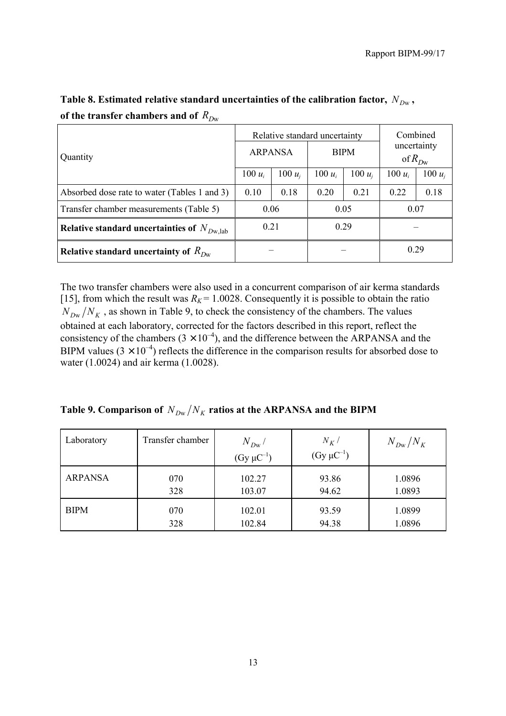|                                                 | Relative standard uncertainty |           |             |           | Combined                   |           |
|-------------------------------------------------|-------------------------------|-----------|-------------|-----------|----------------------------|-----------|
| Quantity                                        | <b>ARPANSA</b>                |           | <b>BIPM</b> |           | uncertainty<br>of $R_{Dw}$ |           |
|                                                 | 100 $u_i$                     | 100 $u_i$ | 100 $u_i$   | 100 $u_i$ | 100 $u_i$                  | 100 $u_i$ |
| Absorbed dose rate to water (Tables 1 and 3)    | 0.10                          | 0.18      | 0.20        | 0.21      | 0.22                       | 0.18      |
| Transfer chamber measurements (Table 5)         | 0.06                          |           | 0.05        |           | 0.07                       |           |
| Relative standard uncertainties of $N_{Dw,lab}$ | 0.21                          |           |             | 0.29      |                            |           |
| Relative standard uncertainty of $R_{Dw}$       |                               |           |             |           | 0.29                       |           |

Table 8. Estimated relative standard uncertainties of the calibration factor,  $N_{Dw}$ , of the transfer chambers and of  $R_{Dw}$ 

The two transfer chambers were also used in a concurrent comparison of air kerma standards [15], from which the result was  $R_K$  = 1.0028. Consequently it is possible to obtain the ratio  $N_{Dw}/N_K$ , as shown in Table 9, to check the consistency of the chambers. The values obtained at each laboratory, corrected for the factors described in this report, reflect the consistency of the chambers  $(3 \times 10^{-4})$ , and the difference between the ARPANSA and the BIPM values  $(3 \times 10^{-4})$  reflects the difference in the comparison results for absorbed dose to water (1.0024) and air kerma (1.0028).

| Table 9. Comparison of $N_{Dw}/N_K$ ratios at the ARPANSA and the BIPM |  |  |  |  |
|------------------------------------------------------------------------|--|--|--|--|
|------------------------------------------------------------------------|--|--|--|--|

| Laboratory     | Transfer chamber | $N_{Dw}$          | $N_K/$            | $N_{Dw}/N_K$ |
|----------------|------------------|-------------------|-------------------|--------------|
|                |                  | $(Gy \mu C^{-1})$ | $(Gy \mu C^{-1})$ |              |
| <b>ARPANSA</b> | 070              | 102.27            | 93.86             | 1.0896       |
|                | 328              | 103.07            | 94.62             | 1.0893       |
| <b>BIPM</b>    | 070              | 102.01            | 93.59             | 1.0899       |
|                | 328              | 102.84            | 94.38             | 1.0896       |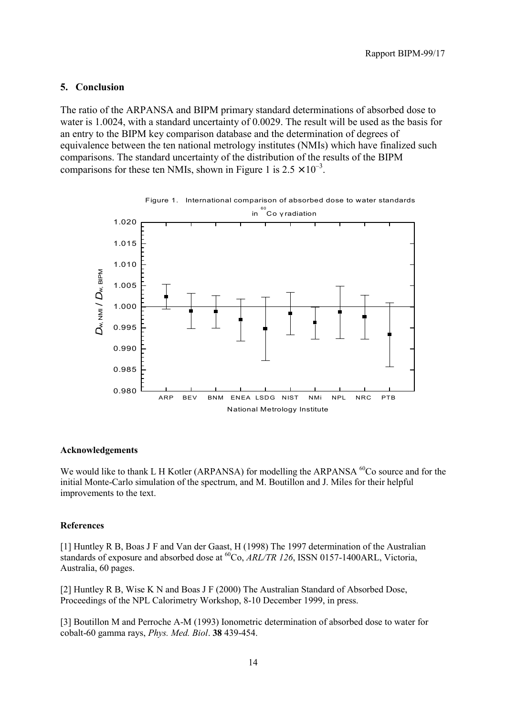#### **5. Conclusion**

The ratio of the ARPANSA and BIPM primary standard determinations of absorbed dose to water is 1.0024, with a standard uncertainty of 0.0029. The result will be used as the basis for an entry to the BIPM key comparison database and the determination of degrees of equivalence between the ten national metrology institutes (NMIs) which have finalized such comparisons. The standard uncertainty of the distribution of the results of the BIPM comparisons for these ten NMIs, shown in Figure 1 is  $2.5 \times 10^{-3}$ .



#### **Acknowledgements**

We would like to thank L H Kotler (ARPANSA) for modelling the ARPANSA <sup>60</sup>Co source and for the initial Monte-Carlo simulation of the spectrum, and M. Boutillon and J. Miles for their helpful improvements to the text.

#### **References**

[1] Huntley R B, Boas J F and Van der Gaast, H (1998) The 1997 determination of the Australian standards of exposure and absorbed dose at <sup>60</sup>Co, *ARL/TR 126*, ISSN 0157-1400ARL, Victoria, Australia, 60 pages.

[2] Huntley R B, Wise K N and Boas J F (2000) The Australian Standard of Absorbed Dose, Proceedings of the NPL Calorimetry Workshop, 8-10 December 1999, in press.

[3] Boutillon M and Perroche A-M (1993) Ionometric determination of absorbed dose to water for cobalt-60 gamma rays, *Phys. Med. Biol*. **38** 439-454.